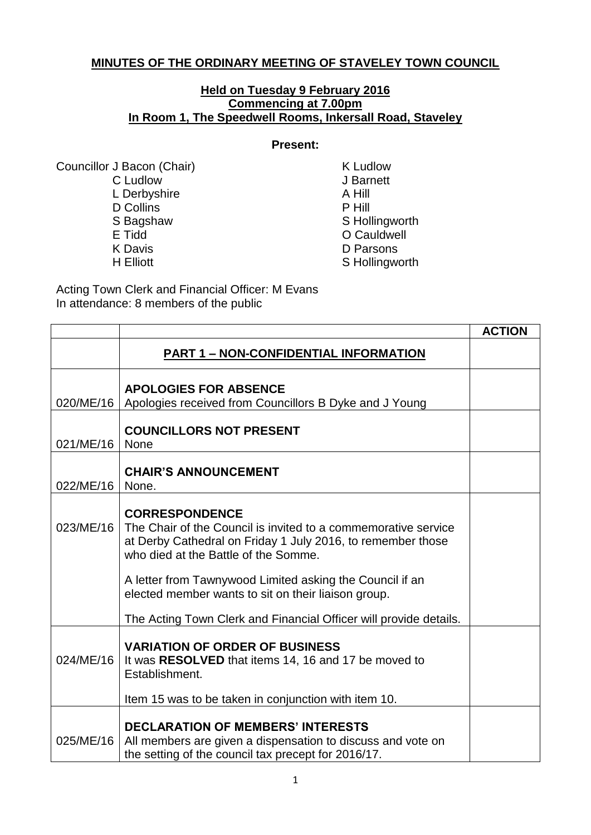## **MINUTES OF THE ORDINARY MEETING OF STAVELEY TOWN COUNCIL**

## **Held on Tuesday 9 February 2016 Commencing at 7.00pm In Room 1, The Speedwell Rooms, Inkersall Road, Staveley**

## **Present:**

Councillor J Bacon (Chair) K Ludlow C Ludlow J Barnett<br>
L Derbyshire A Hill L Derbyshire D Collins P Hill S Bagshaw S Hollingworth E Tidd **E** Tidd
C Cauldwell **E** K Davis D Parsons

S Hollingworth

Acting Town Clerk and Financial Officer: M Evans In attendance: 8 members of the public

|           |                                                                                                                                                                                                | <b>ACTION</b> |
|-----------|------------------------------------------------------------------------------------------------------------------------------------------------------------------------------------------------|---------------|
|           | <b>PART 1 - NON-CONFIDENTIAL INFORMATION</b>                                                                                                                                                   |               |
| 020/ME/16 | <b>APOLOGIES FOR ABSENCE</b><br>Apologies received from Councillors B Dyke and J Young                                                                                                         |               |
| 021/ME/16 | <b>COUNCILLORS NOT PRESENT</b><br>None                                                                                                                                                         |               |
| 022/ME/16 | <b>CHAIR'S ANNOUNCEMENT</b><br>None.                                                                                                                                                           |               |
| 023/ME/16 | <b>CORRESPONDENCE</b><br>The Chair of the Council is invited to a commemorative service<br>at Derby Cathedral on Friday 1 July 2016, to remember those<br>who died at the Battle of the Somme. |               |
|           | A letter from Tawnywood Limited asking the Council if an<br>elected member wants to sit on their liaison group.                                                                                |               |
|           | The Acting Town Clerk and Financial Officer will provide details.                                                                                                                              |               |
| 024/ME/16 | <b>VARIATION OF ORDER OF BUSINESS</b><br>It was <b>RESOLVED</b> that items 14, 16 and 17 be moved to<br>Establishment.                                                                         |               |
|           | Item 15 was to be taken in conjunction with item 10.                                                                                                                                           |               |
| 025/ME/16 | <b>DECLARATION OF MEMBERS' INTERESTS</b><br>All members are given a dispensation to discuss and vote on<br>the setting of the council tax precept for 2016/17.                                 |               |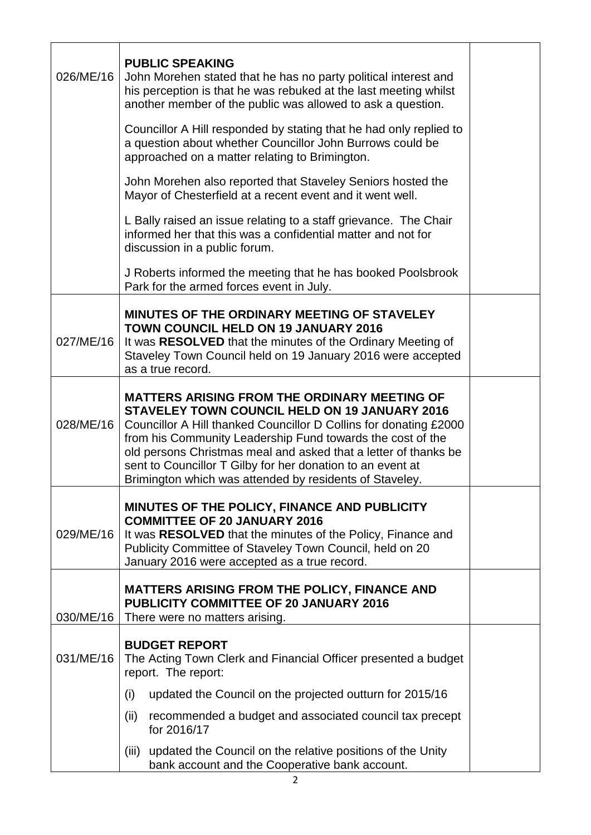| 026/ME/16 | <b>PUBLIC SPEAKING</b><br>John Morehen stated that he has no party political interest and<br>his perception is that he was rebuked at the last meeting whilst<br>another member of the public was allowed to ask a question.                                                                                                                                                                                                               |  |  |
|-----------|--------------------------------------------------------------------------------------------------------------------------------------------------------------------------------------------------------------------------------------------------------------------------------------------------------------------------------------------------------------------------------------------------------------------------------------------|--|--|
|           | Councillor A Hill responded by stating that he had only replied to<br>a question about whether Councillor John Burrows could be<br>approached on a matter relating to Brimington.                                                                                                                                                                                                                                                          |  |  |
|           | John Morehen also reported that Staveley Seniors hosted the<br>Mayor of Chesterfield at a recent event and it went well.                                                                                                                                                                                                                                                                                                                   |  |  |
|           | L Bally raised an issue relating to a staff grievance. The Chair<br>informed her that this was a confidential matter and not for<br>discussion in a public forum.                                                                                                                                                                                                                                                                          |  |  |
|           | J Roberts informed the meeting that he has booked Poolsbrook<br>Park for the armed forces event in July.                                                                                                                                                                                                                                                                                                                                   |  |  |
| 027/ME/16 | <b>MINUTES OF THE ORDINARY MEETING OF STAVELEY</b><br><b>TOWN COUNCIL HELD ON 19 JANUARY 2016</b><br>It was RESOLVED that the minutes of the Ordinary Meeting of<br>Staveley Town Council held on 19 January 2016 were accepted<br>as a true record.                                                                                                                                                                                       |  |  |
| 028/ME/16 | <b>MATTERS ARISING FROM THE ORDINARY MEETING OF</b><br><b>STAVELEY TOWN COUNCIL HELD ON 19 JANUARY 2016</b><br>Councillor A Hill thanked Councillor D Collins for donating £2000<br>from his Community Leadership Fund towards the cost of the<br>old persons Christmas meal and asked that a letter of thanks be<br>sent to Councillor T Gilby for her donation to an event at<br>Brimington which was attended by residents of Staveley. |  |  |
| 029/ME/16 | MINUTES OF THE POLICY, FINANCE AND PUBLICITY<br><b>COMMITTEE OF 20 JANUARY 2016</b><br>It was RESOLVED that the minutes of the Policy, Finance and<br>Publicity Committee of Staveley Town Council, held on 20<br>January 2016 were accepted as a true record.                                                                                                                                                                             |  |  |
| 030/ME/16 | <b>MATTERS ARISING FROM THE POLICY, FINANCE AND</b><br><b>PUBLICITY COMMITTEE OF 20 JANUARY 2016</b><br>There were no matters arising.                                                                                                                                                                                                                                                                                                     |  |  |
| 031/ME/16 | <b>BUDGET REPORT</b><br>The Acting Town Clerk and Financial Officer presented a budget<br>report. The report:                                                                                                                                                                                                                                                                                                                              |  |  |
|           | updated the Council on the projected outturn for 2015/16<br>(i)                                                                                                                                                                                                                                                                                                                                                                            |  |  |
|           | (ii)<br>recommended a budget and associated council tax precept<br>for 2016/17                                                                                                                                                                                                                                                                                                                                                             |  |  |
|           | updated the Council on the relative positions of the Unity<br>(iii)<br>bank account and the Cooperative bank account.                                                                                                                                                                                                                                                                                                                      |  |  |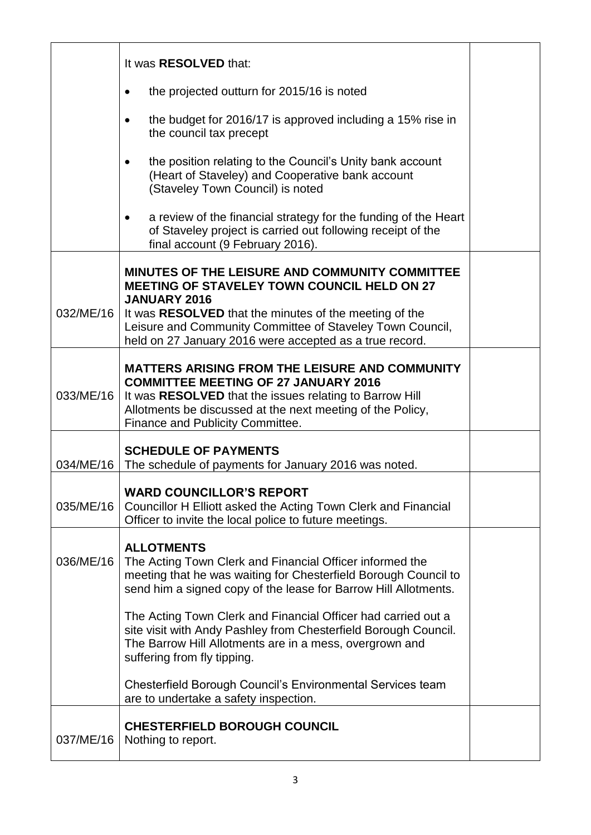|           | It was <b>RESOLVED</b> that:                                                                                                                                                                                                                                                                                         |  |
|-----------|----------------------------------------------------------------------------------------------------------------------------------------------------------------------------------------------------------------------------------------------------------------------------------------------------------------------|--|
|           | the projected outturn for 2015/16 is noted<br>٠                                                                                                                                                                                                                                                                      |  |
|           | the budget for 2016/17 is approved including a 15% rise in<br>the council tax precept                                                                                                                                                                                                                                |  |
|           | the position relating to the Council's Unity bank account<br>(Heart of Staveley) and Cooperative bank account<br>(Staveley Town Council) is noted                                                                                                                                                                    |  |
|           | a review of the financial strategy for the funding of the Heart<br>of Staveley project is carried out following receipt of the<br>final account (9 February 2016).                                                                                                                                                   |  |
| 032/ME/16 | MINUTES OF THE LEISURE AND COMMUNITY COMMITTEE<br><b>MEETING OF STAVELEY TOWN COUNCIL HELD ON 27</b><br><b>JANUARY 2016</b><br>It was <b>RESOLVED</b> that the minutes of the meeting of the<br>Leisure and Community Committee of Staveley Town Council,<br>held on 27 January 2016 were accepted as a true record. |  |
| 033/ME/16 | <b>MATTERS ARISING FROM THE LEISURE AND COMMUNITY</b><br><b>COMMITTEE MEETING OF 27 JANUARY 2016</b><br>It was RESOLVED that the issues relating to Barrow Hill<br>Allotments be discussed at the next meeting of the Policy,<br>Finance and Publicity Committee.                                                    |  |
| 034/ME/16 | <b>SCHEDULE OF PAYMENTS</b><br>The schedule of payments for January 2016 was noted.                                                                                                                                                                                                                                  |  |
| 035/ME/16 | <b>WARD COUNCILLOR'S REPORT</b><br>Councillor H Elliott asked the Acting Town Clerk and Financial<br>Officer to invite the local police to future meetings.                                                                                                                                                          |  |
| 036/ME/16 | <b>ALLOTMENTS</b><br>The Acting Town Clerk and Financial Officer informed the<br>meeting that he was waiting for Chesterfield Borough Council to<br>send him a signed copy of the lease for Barrow Hill Allotments.                                                                                                  |  |
|           | The Acting Town Clerk and Financial Officer had carried out a<br>site visit with Andy Pashley from Chesterfield Borough Council.<br>The Barrow Hill Allotments are in a mess, overgrown and<br>suffering from fly tipping.                                                                                           |  |
|           | Chesterfield Borough Council's Environmental Services team<br>are to undertake a safety inspection.                                                                                                                                                                                                                  |  |
| 037/ME/16 | <b>CHESTERFIELD BOROUGH COUNCIL</b><br>Nothing to report.                                                                                                                                                                                                                                                            |  |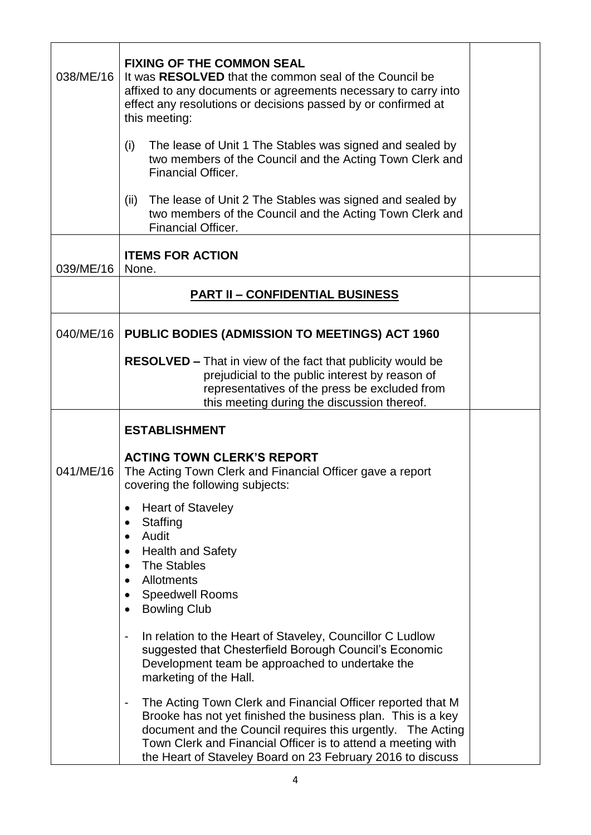| 038/ME/16 | <b>FIXING OF THE COMMON SEAL</b><br>It was RESOLVED that the common seal of the Council be<br>affixed to any documents or agreements necessary to carry into<br>effect any resolutions or decisions passed by or confirmed at<br>this meeting:                                                                                                                                                                                                     |  |
|-----------|----------------------------------------------------------------------------------------------------------------------------------------------------------------------------------------------------------------------------------------------------------------------------------------------------------------------------------------------------------------------------------------------------------------------------------------------------|--|
|           | The lease of Unit 1 The Stables was signed and sealed by<br>(i)<br>two members of the Council and the Acting Town Clerk and<br><b>Financial Officer.</b>                                                                                                                                                                                                                                                                                           |  |
|           | The lease of Unit 2 The Stables was signed and sealed by<br>(ii)<br>two members of the Council and the Acting Town Clerk and<br><b>Financial Officer.</b>                                                                                                                                                                                                                                                                                          |  |
| 039/ME/16 | <b>ITEMS FOR ACTION</b><br>None.                                                                                                                                                                                                                                                                                                                                                                                                                   |  |
|           | <b>PART II - CONFIDENTIAL BUSINESS</b>                                                                                                                                                                                                                                                                                                                                                                                                             |  |
| 040/ME/16 | PUBLIC BODIES (ADMISSION TO MEETINGS) ACT 1960<br><b>RESOLVED - That in view of the fact that publicity would be</b><br>prejudicial to the public interest by reason of<br>representatives of the press be excluded from<br>this meeting during the discussion thereof.                                                                                                                                                                            |  |
|           | <b>ESTABLISHMENT</b>                                                                                                                                                                                                                                                                                                                                                                                                                               |  |
| 041/ME/16 | <b>ACTING TOWN CLERK'S REPORT</b><br>The Acting Town Clerk and Financial Officer gave a report<br>covering the following subjects:                                                                                                                                                                                                                                                                                                                 |  |
|           | <b>Heart of Staveley</b><br>٠<br>Staffing<br>$\bullet$<br>Audit<br>$\bullet$<br><b>Health and Safety</b><br>$\bullet$<br><b>The Stables</b><br>$\bullet$<br>Allotments<br>$\bullet$<br><b>Speedwell Rooms</b><br>٠<br><b>Bowling Club</b><br>$\bullet$<br>In relation to the Heart of Staveley, Councillor C Ludlow<br>$\blacksquare$<br>suggested that Chesterfield Borough Council's Economic<br>Development team be approached to undertake the |  |
|           | marketing of the Hall.<br>The Acting Town Clerk and Financial Officer reported that M<br>-<br>Brooke has not yet finished the business plan. This is a key<br>document and the Council requires this urgently. The Acting<br>Town Clerk and Financial Officer is to attend a meeting with<br>the Heart of Staveley Board on 23 February 2016 to discuss                                                                                            |  |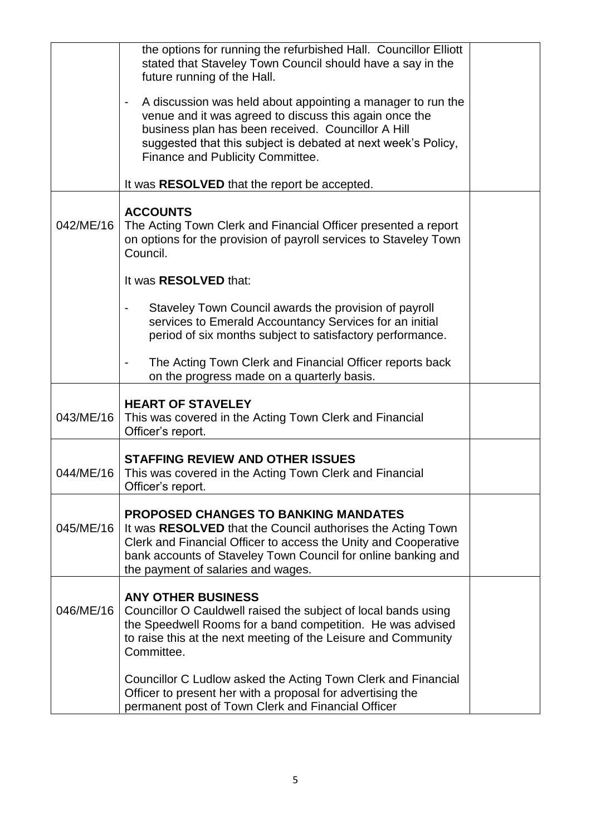|           | the options for running the refurbished Hall. Councillor Elliott<br>stated that Staveley Town Council should have a say in the<br>future running of the Hall.<br>A discussion was held about appointing a manager to run the<br>$\blacksquare$<br>venue and it was agreed to discuss this again once the<br>business plan has been received. Councillor A Hill<br>suggested that this subject is debated at next week's Policy,<br>Finance and Publicity Committee.<br>It was RESOLVED that the report be accepted. |  |
|-----------|---------------------------------------------------------------------------------------------------------------------------------------------------------------------------------------------------------------------------------------------------------------------------------------------------------------------------------------------------------------------------------------------------------------------------------------------------------------------------------------------------------------------|--|
| 042/ME/16 | <b>ACCOUNTS</b><br>The Acting Town Clerk and Financial Officer presented a report<br>on options for the provision of payroll services to Staveley Town<br>Council.                                                                                                                                                                                                                                                                                                                                                  |  |
|           | It was RESOLVED that:                                                                                                                                                                                                                                                                                                                                                                                                                                                                                               |  |
|           | Staveley Town Council awards the provision of payroll<br>services to Emerald Accountancy Services for an initial<br>period of six months subject to satisfactory performance.                                                                                                                                                                                                                                                                                                                                       |  |
|           | The Acting Town Clerk and Financial Officer reports back<br>on the progress made on a quarterly basis.                                                                                                                                                                                                                                                                                                                                                                                                              |  |
| 043/ME/16 | <b>HEART OF STAVELEY</b><br>This was covered in the Acting Town Clerk and Financial<br>Officer's report.                                                                                                                                                                                                                                                                                                                                                                                                            |  |
| 044/ME/16 | <b>STAFFING REVIEW AND OTHER ISSUES</b><br>This was covered in the Acting Town Clerk and Financial<br>Officer's report.                                                                                                                                                                                                                                                                                                                                                                                             |  |
| 045/ME/16 | <b>PROPOSED CHANGES TO BANKING MANDATES</b><br>It was RESOLVED that the Council authorises the Acting Town<br>Clerk and Financial Officer to access the Unity and Cooperative<br>bank accounts of Staveley Town Council for online banking and<br>the payment of salaries and wages.                                                                                                                                                                                                                                |  |
| 046/ME/16 | <b>ANY OTHER BUSINESS</b><br>Councillor O Cauldwell raised the subject of local bands using<br>the Speedwell Rooms for a band competition. He was advised<br>to raise this at the next meeting of the Leisure and Community<br>Committee.                                                                                                                                                                                                                                                                           |  |
|           | Councillor C Ludlow asked the Acting Town Clerk and Financial<br>Officer to present her with a proposal for advertising the<br>permanent post of Town Clerk and Financial Officer                                                                                                                                                                                                                                                                                                                                   |  |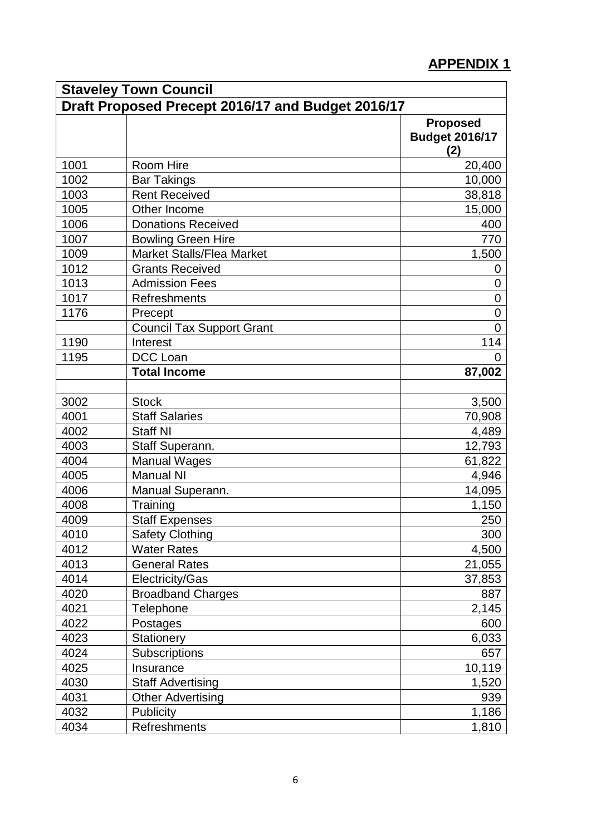## **APPENDIX 1**

| <b>Staveley Town Council</b> |                                                   |                                                 |
|------------------------------|---------------------------------------------------|-------------------------------------------------|
|                              | Draft Proposed Precept 2016/17 and Budget 2016/17 |                                                 |
|                              |                                                   | <b>Proposed</b><br><b>Budget 2016/17</b><br>(2) |
| 1001                         | Room Hire                                         | 20,400                                          |
| 1002                         | <b>Bar Takings</b>                                | 10,000                                          |
| 1003                         | <b>Rent Received</b>                              | 38,818                                          |
| 1005                         | Other Income                                      | 15,000                                          |
| 1006                         | <b>Donations Received</b>                         | 400                                             |
| 1007                         | <b>Bowling Green Hire</b>                         | 770                                             |
| 1009                         | <b>Market Stalls/Flea Market</b>                  | 1,500                                           |
| 1012                         | <b>Grants Received</b>                            | 0                                               |
| 1013                         | <b>Admission Fees</b>                             | $\overline{0}$                                  |
| 1017                         | <b>Refreshments</b>                               | $\overline{0}$                                  |
| 1176                         | Precept                                           | $\overline{0}$                                  |
|                              | <b>Council Tax Support Grant</b>                  | $\Omega$                                        |
| 1190                         | Interest                                          | 114                                             |
| 1195                         | <b>DCC</b> Loan                                   |                                                 |
|                              | <b>Total Income</b>                               | 87,002                                          |
|                              |                                                   |                                                 |
| 3002                         | <b>Stock</b>                                      | 3,500                                           |
| 4001                         | <b>Staff Salaries</b>                             | 70,908                                          |
| 4002                         | <b>Staff NI</b>                                   | 4,489                                           |
| 4003                         | Staff Superann.                                   | 12,793                                          |
| 4004                         | <b>Manual Wages</b>                               | 61,822                                          |
| 4005                         | <b>Manual NI</b>                                  | 4,946                                           |
| 4006                         | Manual Superann.                                  | 14,095                                          |
| 4008                         | Training                                          | 1,150                                           |
| 4009                         | <b>Staff Expenses</b>                             | 250                                             |
| 4010                         | <b>Safety Clothing</b>                            | 300                                             |
| 4012                         | <b>Water Rates</b>                                | 4,500                                           |
| 4013                         | <b>General Rates</b>                              | 21,055                                          |
| 4014                         | Electricity/Gas                                   | 37,853                                          |
| 4020                         | <b>Broadband Charges</b>                          | 887                                             |
| 4021                         | Telephone                                         | 2,145                                           |
| 4022                         | Postages                                          | 600                                             |
| 4023                         | Stationery                                        | 6,033                                           |
| 4024                         | <b>Subscriptions</b>                              | 657                                             |
| 4025                         | Insurance                                         | 10,119                                          |
| 4030                         | <b>Staff Advertising</b>                          | 1,520                                           |
| 4031                         | <b>Other Advertising</b>                          | 939                                             |
| 4032                         | Publicity                                         | 1,186                                           |
| 4034                         | Refreshments                                      | 1,810                                           |